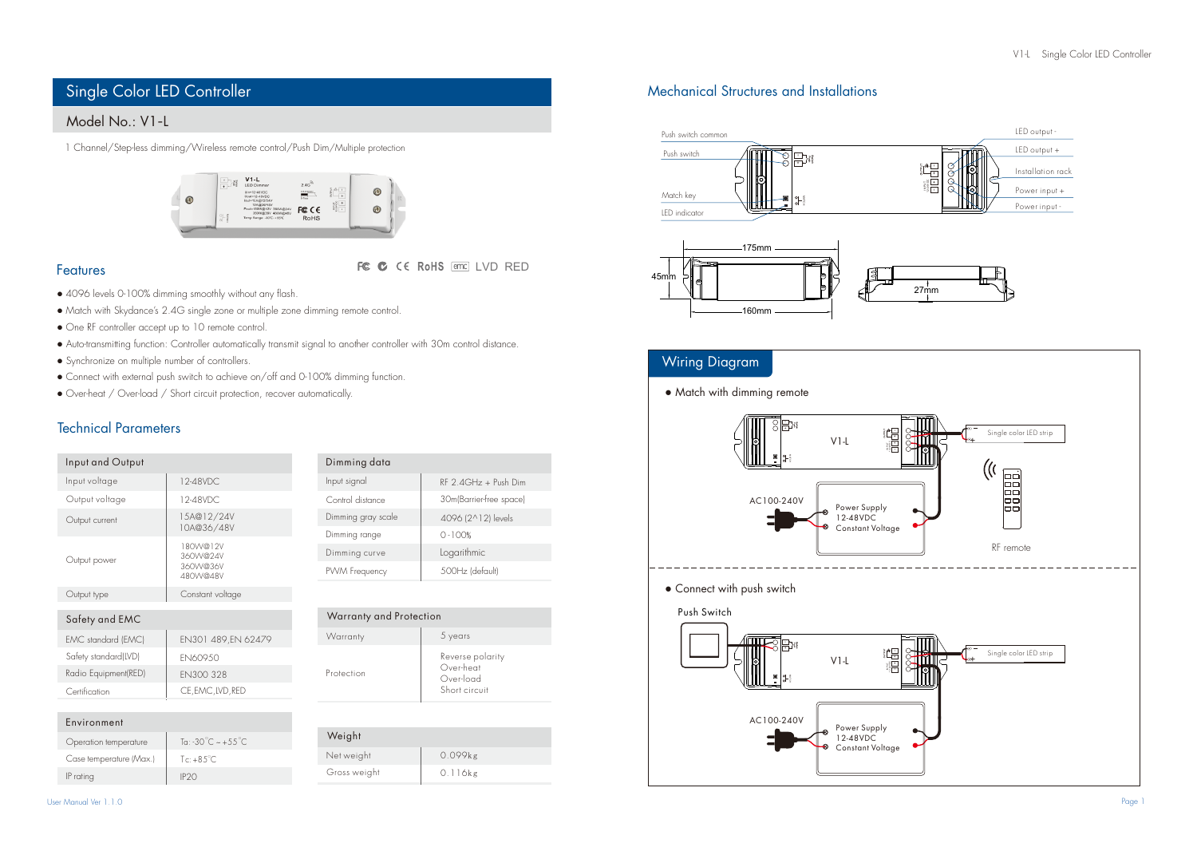# Single Color LED Controller

## Model No.: V1-L

1 Channel/Step-less dimming/Wireless remote control/Push Dim/Multiple protection



### Features

LVD RED

- 4096 levels 0-100% dimming smoothly without any flash.
- Match with Skydance's 2.4G single zone or multiple zone dimming remote control.
- One RF controller accept up to 10 remote control.
- Auto-transmitting function: Controller automatically transmit signal to another controller with 30m control distance.
- Synchronize on multiple number of controllers.
- Connect with external push switch to achieve on/off and 0-100% dimming function.
- Over-heat / Over-load / Short circuit protection, recover automatically.

## Technical Parameters

| Input and Output               |                                                                         | Dimming data       |                          |
|--------------------------------|-------------------------------------------------------------------------|--------------------|--------------------------|
| Input voltage                  | 12-48VDC.                                                               | Input signal       | $RF$ 2 $4GHz + Push$ Dim |
| Output voltage                 | 12-48VDC                                                                | Control distance   | 30m(Barrier-free space)  |
| Output current<br>Output power | 15A@12/24V<br>10A@36/48V<br>80W@12V<br>360W@24V<br>360W@36V<br>480W@48V | Dimming gray scale | 4096 (2^12) levels       |
|                                |                                                                         | Dimming range      | $0 - 100%$               |
|                                |                                                                         | Dimming curve      | Logarithmic              |
|                                |                                                                         | PWM Frequency      | 500Hz (default)          |
| Output type                    | Constant voltage                                                        |                    |                          |

| Safety and EMC       |                     |
|----------------------|---------------------|
| EMC standard (EMC)   | EN301 489, EN 62479 |
| Safety standard(LVD) | <b>FN60950</b>      |
| Radio Equipment(RED) | FN300 328           |
| Certification        | CE, EMC, LVD, RED   |

| Warranty and Protection |                                                             |
|-------------------------|-------------------------------------------------------------|
| Warranty                | 5 years                                                     |
| Protection              | Reverse polarity<br>Over-heat<br>Over-load<br>Short circuit |

0.099kg

0.116kg

Weight

Gross weight Net weight

| Environment |  |
|-------------|--|
|             |  |
|             |  |

| Operation temperature   | To: -30 $\degree$ C ~ +55 $\degree$ C |
|-------------------------|---------------------------------------|
| Case temperature (Max.) | $Te: +8.5^{\circ}C$                   |
| IP ratina               |                                       |

| User Manual Ver 1.1.0 |  |  |
|-----------------------|--|--|
|                       |  |  |
|                       |  |  |

## Mechanical Structures and Installations